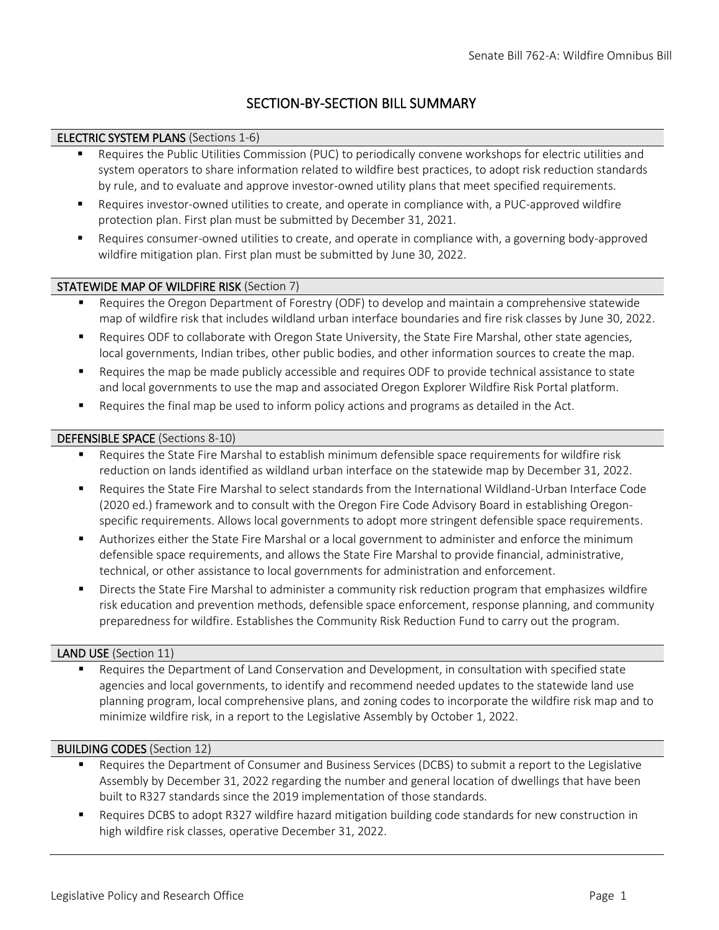## SECTION-BY-SECTION BILL SUMMARY

## ELECTRIC SYSTEM PLANS (Sections 1-6)

- Requires the Public Utilities Commission (PUC) to periodically convene workshops for electric utilities and system operators to share information related to wildfire best practices, to adopt risk reduction standards by rule, and to evaluate and approve investor-owned utility plans that meet specified requirements.
- Requires investor-owned utilities to create, and operate in compliance with, a PUC-approved wildfire protection plan. First plan must be submitted by December 31, 2021.
- Requires consumer-owned utilities to create, and operate in compliance with, a governing body-approved wildfire mitigation plan. First plan must be submitted by June 30, 2022.

## STATEWIDE MAP OF WILDFIRE RISK (Section 7)

- Requires the Oregon Department of Forestry (ODF) to develop and maintain a comprehensive statewide map of wildfire risk that includes wildland urban interface boundaries and fire risk classes by June 30, 2022.
- Requires ODF to collaborate with Oregon State University, the State Fire Marshal, other state agencies, local governments, Indian tribes, other public bodies, and other information sources to create the map.
- Requires the map be made publicly accessible and requires ODF to provide technical assistance to state and local governments to use the map and associated Oregon Explorer Wildfire Risk Portal platform.
- Requires the final map be used to inform policy actions and programs as detailed in the Act.

## DEFENSIBLE SPACE (Sections 8-10)

- Requires the State Fire Marshal to establish minimum defensible space requirements for wildfire risk reduction on lands identified as wildland urban interface on the statewide map by December 31, 2022.
- Requires the State Fire Marshal to select standards from the International Wildland-Urban Interface Code (2020 ed.) framework and to consult with the Oregon Fire Code Advisory Board in establishing Oregonspecific requirements. Allows local governments to adopt more stringent defensible space requirements.
- Authorizes either the State Fire Marshal or a local government to administer and enforce the minimum defensible space requirements, and allows the State Fire Marshal to provide financial, administrative, technical, or other assistance to local governments for administration and enforcement.
- Directs the State Fire Marshal to administer a community risk reduction program that emphasizes wildfire risk education and prevention methods, defensible space enforcement, response planning, and community preparedness for wildfire. Establishes the Community Risk Reduction Fund to carry out the program.

## LAND USE (Section 11)

Requires the Department of Land Conservation and Development, in consultation with specified state agencies and local governments, to identify and recommend needed updates to the statewide land use planning program, local comprehensive plans, and zoning codes to incorporate the wildfire risk map and to minimize wildfire risk, in a report to the Legislative Assembly by October 1, 2022.

## BUILDING CODES (Section 12)

- Requires the Department of Consumer and Business Services (DCBS) to submit a report to the Legislative Assembly by December 31, 2022 regarding the number and general location of dwellings that have been built to R327 standards since the 2019 implementation of those standards.
- Requires DCBS to adopt R327 wildfire hazard mitigation building code standards for new construction in high wildfire risk classes, operative December 31, 2022.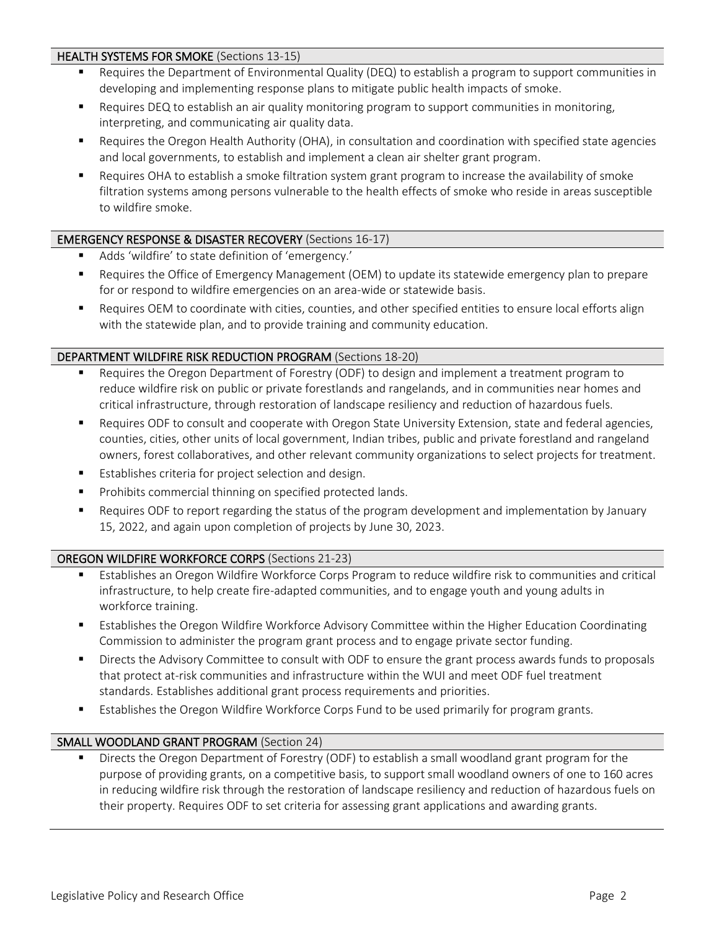## HEALTH SYSTEMS FOR SMOKE (Sections 13-15)

- Requires the Department of Environmental Quality (DEQ) to establish a program to support communities in developing and implementing response plans to mitigate public health impacts of smoke.
- Requires DEQ to establish an air quality monitoring program to support communities in monitoring, interpreting, and communicating air quality data.
- Requires the Oregon Health Authority (OHA), in consultation and coordination with specified state agencies and local governments, to establish and implement a clean air shelter grant program.
- Requires OHA to establish a smoke filtration system grant program to increase the availability of smoke filtration systems among persons vulnerable to the health effects of smoke who reside in areas susceptible to wildfire smoke.

## EMERGENCY RESPONSE & DISASTER RECOVERY (Sections 16-17)

- Adds 'wildfire' to state definition of 'emergency.'
- Requires the Office of Emergency Management (OEM) to update its statewide emergency plan to prepare for or respond to wildfire emergencies on an area-wide or statewide basis.
- Requires OEM to coordinate with cities, counties, and other specified entities to ensure local efforts align with the statewide plan, and to provide training and community education.

#### DEPARTMENT WILDFIRE RISK REDUCTION PROGRAM (Sections 18-20)

- Requires the Oregon Department of Forestry (ODF) to design and implement a treatment program to reduce wildfire risk on public or private forestlands and rangelands, and in communities near homes and critical infrastructure, through restoration of landscape resiliency and reduction of hazardous fuels.
- Requires ODF to consult and cooperate with Oregon State University Extension, state and federal agencies, counties, cities, other units of local government, Indian tribes, public and private forestland and rangeland owners, forest collaboratives, and other relevant community organizations to select projects for treatment.
- Establishes criteria for project selection and design.
- Prohibits commercial thinning on specified protected lands.
- Requires ODF to report regarding the status of the program development and implementation by January 15, 2022, and again upon completion of projects by June 30, 2023.

## OREGON WILDFIRE WORKFORCE CORPS (Sections 21-23)

- Establishes an Oregon Wildfire Workforce Corps Program to reduce wildfire risk to communities and critical infrastructure, to help create fire-adapted communities, and to engage youth and young adults in workforce training.
- Establishes the Oregon Wildfire Workforce Advisory Committee within the Higher Education Coordinating Commission to administer the program grant process and to engage private sector funding.
- **■** Directs the Advisory Committee to consult with ODF to ensure the grant process awards funds to proposals that protect at-risk communities and infrastructure within the WUI and meet ODF fuel treatment standards. Establishes additional grant process requirements and priorities.
- **E** Establishes the Oregon Wildfire Workforce Corps Fund to be used primarily for program grants.

#### SMALL WOODLAND GRANT PROGRAM (Section 24)

Directs the Oregon Department of Forestry (ODF) to establish a small woodland grant program for the purpose of providing grants, on a competitive basis, to support small woodland owners of one to 160 acres in reducing wildfire risk through the restoration of landscape resiliency and reduction of hazardous fuels on their property. Requires ODF to set criteria for assessing grant applications and awarding grants.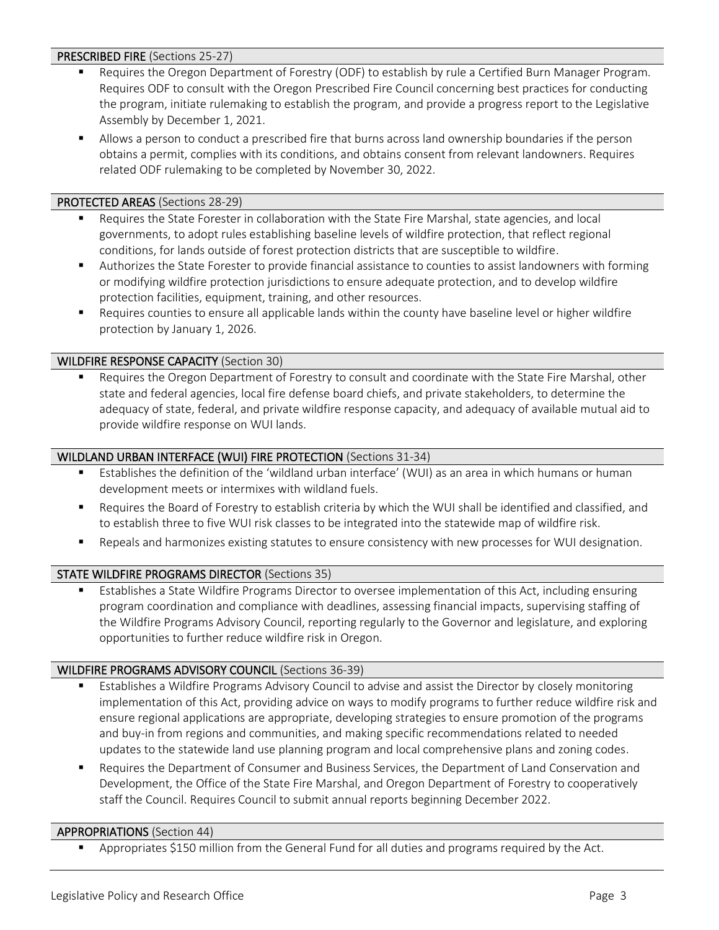#### PRESCRIBED FIRE (Sections 25-27)

- Requires the Oregon Department of Forestry (ODF) to establish by rule a Certified Burn Manager Program. Requires ODF to consult with the Oregon Prescribed Fire Council concerning best practices for conducting the program, initiate rulemaking to establish the program, and provide a progress report to the Legislative Assembly by December 1, 2021.
- Allows a person to conduct a prescribed fire that burns across land ownership boundaries if the person obtains a permit, complies with its conditions, and obtains consent from relevant landowners. Requires related ODF rulemaking to be completed by November 30, 2022.

## PROTECTED AREAS (Sections 28-29)

- Requires the State Forester in collaboration with the State Fire Marshal, state agencies, and local governments, to adopt rules establishing baseline levels of wildfire protection, that reflect regional conditions, for lands outside of forest protection districts that are susceptible to wildfire.
- Authorizes the State Forester to provide financial assistance to counties to assist landowners with forming or modifying wildfire protection jurisdictions to ensure adequate protection, and to develop wildfire protection facilities, equipment, training, and other resources.
- Requires counties to ensure all applicable lands within the county have baseline level or higher wildfire protection by January 1, 2026.

## WILDFIRE RESPONSE CAPACITY (Section 30)

Requires the Oregon Department of Forestry to consult and coordinate with the State Fire Marshal, other state and federal agencies, local fire defense board chiefs, and private stakeholders, to determine the adequacy of state, federal, and private wildfire response capacity, and adequacy of available mutual aid to provide wildfire response on WUI lands.

#### WILDLAND URBAN INTERFACE (WUI) FIRE PROTECTION (Sections 31-34)

- Establishes the definition of the 'wildland urban interface' (WUI) as an area in which humans or human development meets or intermixes with wildland fuels.
- Requires the Board of Forestry to establish criteria by which the WUI shall be identified and classified, and to establish three to five WUI risk classes to be integrated into the statewide map of wildfire risk.
- Repeals and harmonizes existing statutes to ensure consistency with new processes for WUI designation.

## STATE WILDFIRE PROGRAMS DIRECTOR (Sections 35)

■ Establishes a State Wildfire Programs Director to oversee implementation of this Act, including ensuring program coordination and compliance with deadlines, assessing financial impacts, supervising staffing of the Wildfire Programs Advisory Council, reporting regularly to the Governor and legislature, and exploring opportunities to further reduce wildfire risk in Oregon.

#### WILDFIRE PROGRAMS ADVISORY COUNCIL (Sections 36-39)

- Establishes a Wildfire Programs Advisory Council to advise and assist the Director by closely monitoring implementation of this Act, providing advice on ways to modify programs to further reduce wildfire risk and ensure regional applications are appropriate, developing strategies to ensure promotion of the programs and buy-in from regions and communities, and making specific recommendations related to needed updates to the statewide land use planning program and local comprehensive plans and zoning codes.
- Requires the Department of Consumer and Business Services, the Department of Land Conservation and Development, the Office of the State Fire Marshal, and Oregon Department of Forestry to cooperatively staff the Council. Requires Council to submit annual reports beginning December 2022.

#### APPROPRIATIONS (Section 44)

Appropriates \$150 million from the General Fund for all duties and programs required by the Act.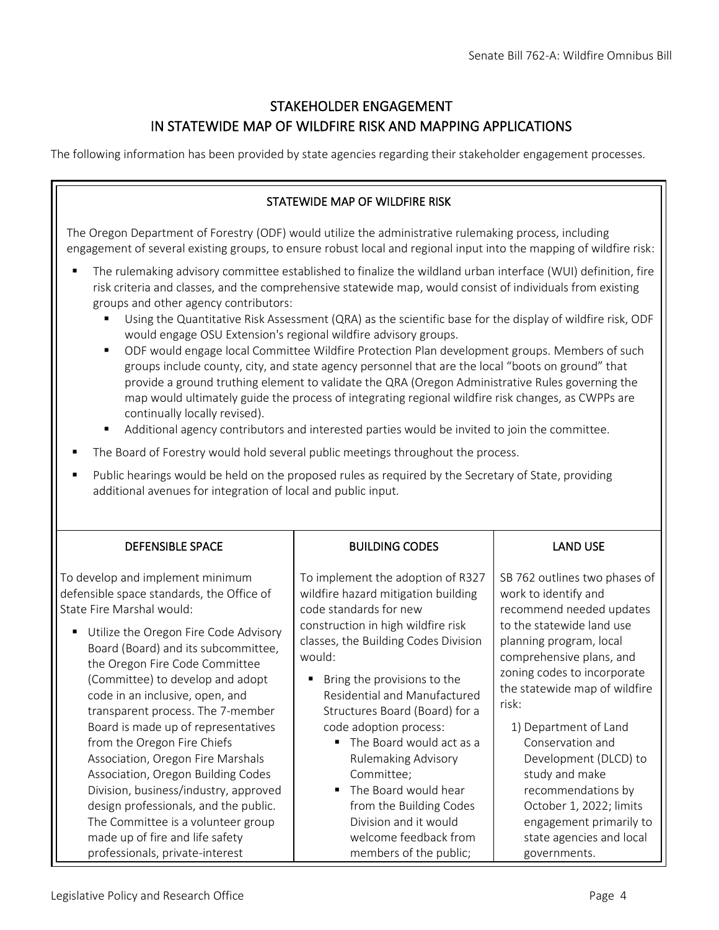# STAKEHOLDER ENGAGEMENT IN STATEWIDE MAP OF WILDFIRE RISK AND MAPPING APPLICATIONS

The following information has been provided by state agencies regarding their stakeholder engagement processes.

## STATEWIDE MAP OF WILDFIRE RISK

The Oregon Department of Forestry (ODF) would utilize the administrative rulemaking process, including engagement of several existing groups, to ensure robust local and regional input into the mapping of wildfire risk:

- The rulemaking advisory committee established to finalize the wildland urban interface (WUI) definition, fire risk criteria and classes, and the comprehensive statewide map, would consist of individuals from existing groups and other agency contributors:
	- Using the Quantitative Risk Assessment (QRA) as the scientific base for the display of wildfire risk, ODF would engage OSU Extension's regional wildfire advisory groups.
	- ODF would engage local Committee Wildfire Protection Plan development groups. Members of such groups include county, city, and state agency personnel that are the local "boots on ground" that provide a ground truthing element to validate the QRA (Oregon Administrative Rules governing the map would ultimately guide the process of integrating regional wildfire risk changes, as CWPPs are continually locally revised).
	- Additional agency contributors and interested parties would be invited to join the committee.
- The Board of Forestry would hold several public meetings throughout the process.
- Public hearings would be held on the proposed rules as required by the Secretary of State, providing additional avenues for integration of local and public input.

| <b>DEFENSIBLE SPACE</b>                                                                                                                                                                                                         | <b>BUILDING CODES</b>                                                                                                                                                                      | <b>LAND USE</b>                                                                                                                                           |
|---------------------------------------------------------------------------------------------------------------------------------------------------------------------------------------------------------------------------------|--------------------------------------------------------------------------------------------------------------------------------------------------------------------------------------------|-----------------------------------------------------------------------------------------------------------------------------------------------------------|
| To develop and implement minimum<br>defensible space standards, the Office of<br>State Fire Marshal would:                                                                                                                      | To implement the adoption of R327<br>wildfire hazard mitigation building<br>code standards for new                                                                                         | SB 762 outlines two phases of<br>work to identify and<br>recommend needed updates                                                                         |
| Utilize the Oregon Fire Code Advisory<br>٠<br>Board (Board) and its subcommittee,<br>the Oregon Fire Code Committee<br>(Committee) to develop and adopt<br>code in an inclusive, open, and<br>transparent process. The 7-member | construction in high wildfire risk<br>classes, the Building Codes Division<br>would:<br>Bring the provisions to the<br>٠<br>Residential and Manufactured<br>Structures Board (Board) for a | to the statewide land use<br>planning program, local<br>comprehensive plans, and<br>zoning codes to incorporate<br>the statewide map of wildfire<br>risk: |
| Board is made up of representatives<br>from the Oregon Fire Chiefs<br>Association, Oregon Fire Marshals                                                                                                                         | code adoption process:<br>The Board would act as a<br>$\blacksquare$<br><b>Rulemaking Advisory</b>                                                                                         | 1) Department of Land<br>Conservation and<br>Development (DLCD) to                                                                                        |
| Association, Oregon Building Codes<br>Division, business/industry, approved                                                                                                                                                     | Committee;<br>The Board would hear<br>П                                                                                                                                                    | study and make<br>recommendations by                                                                                                                      |
| design professionals, and the public.<br>The Committee is a volunteer group<br>made up of fire and life safety<br>professionals, private-interest                                                                               | from the Building Codes<br>Division and it would<br>welcome feedback from<br>members of the public;                                                                                        | October 1, 2022; limits<br>engagement primarily to<br>state agencies and local<br>governments.                                                            |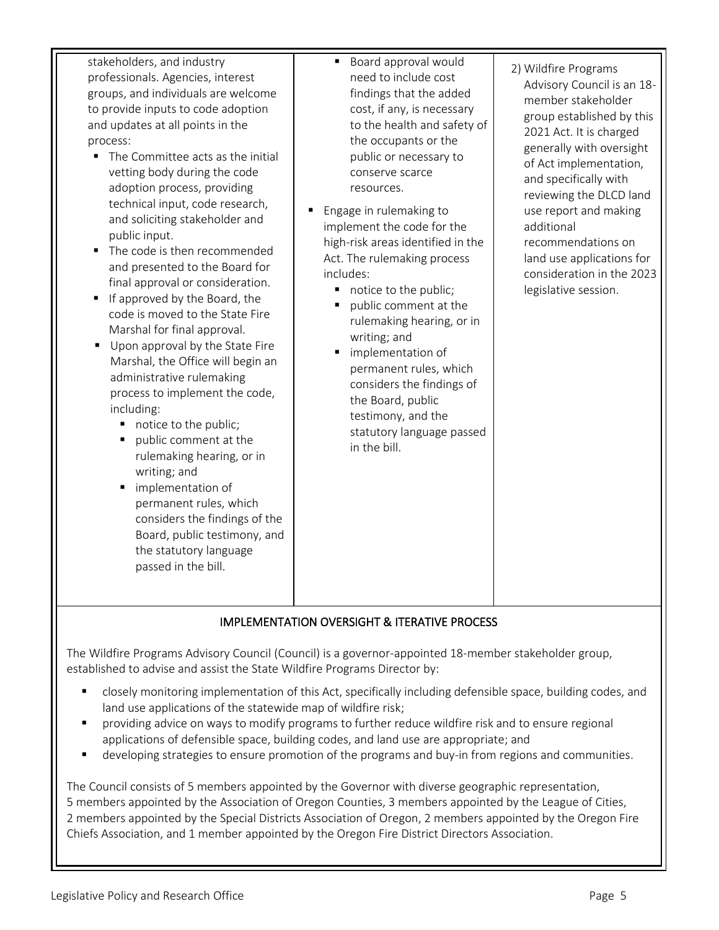stakeholders, and industry professionals. Agencies, interest groups, and individuals are welcome to provide inputs to code adoption and updates at all points in the process:

- The Committee acts as the initial vetting body during the code adoption process, providing technical input, code research, and soliciting stakeholder and public input.
- The code is then recommended and presented to the Board for final approval or consideration.
- If approved by the Board, the code is moved to the State Fire Marshal for final approval.
- **Upon approval by the State Fire** Marshal, the Office will begin an administrative rulemaking process to implement the code, including:
	- notice to the public;
	- public comment at the rulemaking hearing, or in writing; and
	- implementation of permanent rules, which considers the findings of the Board, public testimony, and the statutory language passed in the bill.
- Board approval would need to include cost findings that the added cost, if any, is necessary to the health and safety of the occupants or the public or necessary to conserve scarce resources.
- Engage in rulemaking to implement the code for the high-risk areas identified in the Act. The rulemaking process includes:
	- notice to the public;
	- public comment at the rulemaking hearing, or in writing; and
	- implementation of permanent rules, which considers the findings of the Board, public testimony, and the statutory language passed in the bill.
- 2) Wildfire Programs Advisory Council is an 18 member stakeholder group established by this 2021 Act. It is charged generally with oversight of Act implementation, and specifically with reviewing the DLCD land use report and making additional recommendations on land use applications for consideration in the 2023 legislative session.

## IMPLEMENTATION OVERSIGHT & ITERATIVE PROCESS

The Wildfire Programs Advisory Council (Council) is a governor-appointed 18-member stakeholder group, established to advise and assist the State Wildfire Programs Director by:

- closely monitoring implementation of this Act, specifically including defensible space, building codes, and land use applications of the statewide map of wildfire risk;
- providing advice on ways to modify programs to further reduce wildfire risk and to ensure regional applications of defensible space, building codes, and land use are appropriate; and
- developing strategies to ensure promotion of the programs and buy-in from regions and communities.

The Council consists of 5 members appointed by the Governor with diverse geographic representation, 5 members appointed by the Association of Oregon Counties, 3 members appointed by the League of Cities, 2 members appointed by the Special Districts Association of Oregon, 2 members appointed by the Oregon Fire Chiefs Association, and 1 member appointed by the Oregon Fire District Directors Association.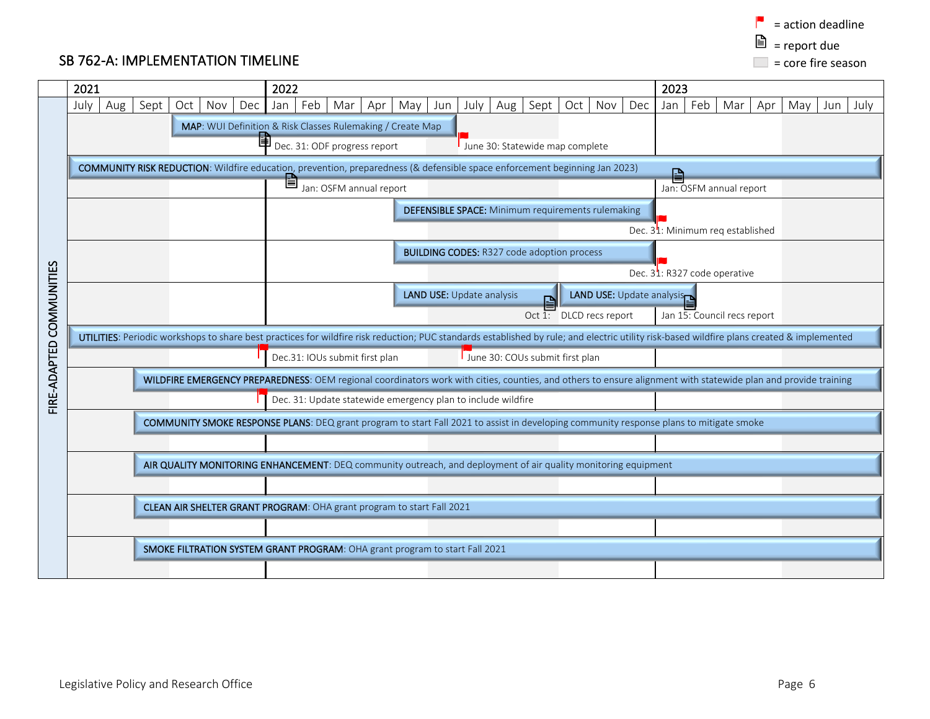$\blacksquare$  = action deadline  $\triangleq$  = report due  $\Box$  = core fire season

# SB 762-A: IMPLEMENTATION TIMELINE

|                          | 2021                                                                                                                                    |                                                                                                                            |      |                                                                                                                                                                |     |                                                   | 2022                                                     |     |                                                                       |     |     |                                 |                                                                             |     |      |                                               |                                                                                                                |                                           | 2023                                                                                                                                                                                       |  |  |  |  |  |
|--------------------------|-----------------------------------------------------------------------------------------------------------------------------------------|----------------------------------------------------------------------------------------------------------------------------|------|----------------------------------------------------------------------------------------------------------------------------------------------------------------|-----|---------------------------------------------------|----------------------------------------------------------|-----|-----------------------------------------------------------------------|-----|-----|---------------------------------|-----------------------------------------------------------------------------|-----|------|-----------------------------------------------|----------------------------------------------------------------------------------------------------------------|-------------------------------------------|--------------------------------------------------------------------------------------------------------------------------------------------------------------------------------------------|--|--|--|--|--|
|                          | July                                                                                                                                    | Aug                                                                                                                        | Sept | Oct                                                                                                                                                            | Nov | Dec                                               | Jan                                                      | Feb | Mar                                                                   | Apr | May | Jun                             | July                                                                        | Aug | Sept | Oct                                           | Nov                                                                                                            | Dec                                       | Feb<br>Jan<br>Mar<br>Apr<br>May<br>July<br>Jun                                                                                                                                             |  |  |  |  |  |
|                          |                                                                                                                                         | MAP: WUI Definition & Risk Classes Rulemaking / Create Map                                                                 |      |                                                                                                                                                                |     |                                                   |                                                          |     |                                                                       |     |     |                                 |                                                                             |     |      |                                               |                                                                                                                |                                           |                                                                                                                                                                                            |  |  |  |  |  |
|                          |                                                                                                                                         | 団<br>Dec. 31: ODF progress report<br>June 30: Statewide map complete                                                       |      |                                                                                                                                                                |     |                                                   |                                                          |     |                                                                       |     |     |                                 |                                                                             |     |      |                                               |                                                                                                                |                                           |                                                                                                                                                                                            |  |  |  |  |  |
|                          |                                                                                                                                         | COMMUNITY RISK REDUCTION: Wildfire education, prevention, preparedness (& defensible space enforcement beginning Jan 2023) |      |                                                                                                                                                                |     |                                                   |                                                          |     |                                                                       |     |     |                                 |                                                                             |     |      |                                               | ₽                                                                                                              |                                           |                                                                                                                                                                                            |  |  |  |  |  |
|                          |                                                                                                                                         |                                                                                                                            |      |                                                                                                                                                                |     |                                                   | È                                                        |     | Jan: OSFM annual report                                               |     |     |                                 |                                                                             |     |      |                                               |                                                                                                                |                                           | Jan: OSFM annual report                                                                                                                                                                    |  |  |  |  |  |
|                          |                                                                                                                                         |                                                                                                                            |      |                                                                                                                                                                |     |                                                   | <b>DEFENSIBLE SPACE:</b> Minimum requirements rulemaking |     |                                                                       |     |     |                                 |                                                                             |     |      |                                               |                                                                                                                |                                           |                                                                                                                                                                                            |  |  |  |  |  |
|                          |                                                                                                                                         |                                                                                                                            |      |                                                                                                                                                                |     |                                                   |                                                          |     |                                                                       |     |     |                                 |                                                                             |     |      | Dec. 3 <sup>1</sup> : Minimum req established |                                                                                                                |                                           |                                                                                                                                                                                            |  |  |  |  |  |
|                          |                                                                                                                                         |                                                                                                                            |      |                                                                                                                                                                |     | <b>BUILDING CODES: R327 code adoption process</b> |                                                          |     |                                                                       |     |     |                                 |                                                                             |     |      |                                               |                                                                                                                |                                           |                                                                                                                                                                                            |  |  |  |  |  |
|                          |                                                                                                                                         |                                                                                                                            |      |                                                                                                                                                                |     |                                                   |                                                          |     |                                                                       |     |     |                                 |                                                                             |     |      |                                               |                                                                                                                | Dec. 3 <sup>1</sup> : R327 code operative |                                                                                                                                                                                            |  |  |  |  |  |
| FIRE-ADAPTED COMMUNITIES |                                                                                                                                         |                                                                                                                            |      |                                                                                                                                                                |     |                                                   |                                                          |     |                                                                       |     |     |                                 | <b>LAND USE: Update analysis</b>                                            |     |      |                                               |                                                                                                                |                                           | <b>LAND USE: Update analysis</b>                                                                                                                                                           |  |  |  |  |  |
|                          |                                                                                                                                         |                                                                                                                            |      |                                                                                                                                                                |     |                                                   |                                                          |     |                                                                       |     |     |                                 |                                                                             |     |      |                                               | Oct $1$ : DLCD recs report                                                                                     |                                           | Jan 15: Council recs report                                                                                                                                                                |  |  |  |  |  |
|                          |                                                                                                                                         |                                                                                                                            |      |                                                                                                                                                                |     |                                                   |                                                          |     |                                                                       |     |     |                                 |                                                                             |     |      |                                               |                                                                                                                |                                           | UTILITIES: Periodic workshops to share best practices for wildfire risk reduction; PUC standards established by rule; and electric utility risk-based wildfire plans created & implemented |  |  |  |  |  |
|                          |                                                                                                                                         |                                                                                                                            |      |                                                                                                                                                                |     |                                                   |                                                          |     | Dec.31: IOUs submit first plan                                        |     |     | June 30: COUs submit first plan |                                                                             |     |      |                                               |                                                                                                                |                                           |                                                                                                                                                                                            |  |  |  |  |  |
|                          |                                                                                                                                         |                                                                                                                            |      | WILDFIRE EMERGENCY PREPAREDNESS: OEM regional coordinators work with cities, counties, and others to ensure alignment with statewide plan and provide training |     |                                                   |                                                          |     |                                                                       |     |     |                                 |                                                                             |     |      |                                               |                                                                                                                |                                           |                                                                                                                                                                                            |  |  |  |  |  |
|                          |                                                                                                                                         |                                                                                                                            |      | Dec. 31: Update statewide emergency plan to include wildfire                                                                                                   |     |                                                   |                                                          |     |                                                                       |     |     |                                 |                                                                             |     |      |                                               |                                                                                                                |                                           |                                                                                                                                                                                            |  |  |  |  |  |
|                          | COMMUNITY SMOKE RESPONSE PLANS: DEQ grant program to start Fall 2021 to assist in developing community response plans to mitigate smoke |                                                                                                                            |      |                                                                                                                                                                |     |                                                   |                                                          |     |                                                                       |     |     |                                 |                                                                             |     |      |                                               |                                                                                                                |                                           |                                                                                                                                                                                            |  |  |  |  |  |
|                          |                                                                                                                                         |                                                                                                                            |      |                                                                                                                                                                |     |                                                   |                                                          |     |                                                                       |     |     |                                 |                                                                             |     |      |                                               |                                                                                                                |                                           |                                                                                                                                                                                            |  |  |  |  |  |
|                          |                                                                                                                                         |                                                                                                                            |      |                                                                                                                                                                |     |                                                   |                                                          |     |                                                                       |     |     |                                 |                                                                             |     |      |                                               | AIR QUALITY MONITORING ENHANCEMENT: DEQ community outreach, and deployment of air quality monitoring equipment |                                           |                                                                                                                                                                                            |  |  |  |  |  |
|                          |                                                                                                                                         |                                                                                                                            |      |                                                                                                                                                                |     |                                                   |                                                          |     |                                                                       |     |     |                                 |                                                                             |     |      |                                               |                                                                                                                |                                           |                                                                                                                                                                                            |  |  |  |  |  |
|                          |                                                                                                                                         |                                                                                                                            |      |                                                                                                                                                                |     |                                                   |                                                          |     | CLEAN AIR SHELTER GRANT PROGRAM: OHA grant program to start Fall 2021 |     |     |                                 |                                                                             |     |      |                                               |                                                                                                                |                                           |                                                                                                                                                                                            |  |  |  |  |  |
|                          |                                                                                                                                         |                                                                                                                            |      |                                                                                                                                                                |     |                                                   |                                                          |     |                                                                       |     |     |                                 |                                                                             |     |      |                                               |                                                                                                                |                                           |                                                                                                                                                                                            |  |  |  |  |  |
|                          |                                                                                                                                         |                                                                                                                            |      |                                                                                                                                                                |     |                                                   |                                                          |     |                                                                       |     |     |                                 | SMOKE FILTRATION SYSTEM GRANT PROGRAM: OHA grant program to start Fall 2021 |     |      |                                               |                                                                                                                |                                           |                                                                                                                                                                                            |  |  |  |  |  |
|                          |                                                                                                                                         |                                                                                                                            |      |                                                                                                                                                                |     |                                                   |                                                          |     |                                                                       |     |     |                                 |                                                                             |     |      |                                               |                                                                                                                |                                           |                                                                                                                                                                                            |  |  |  |  |  |